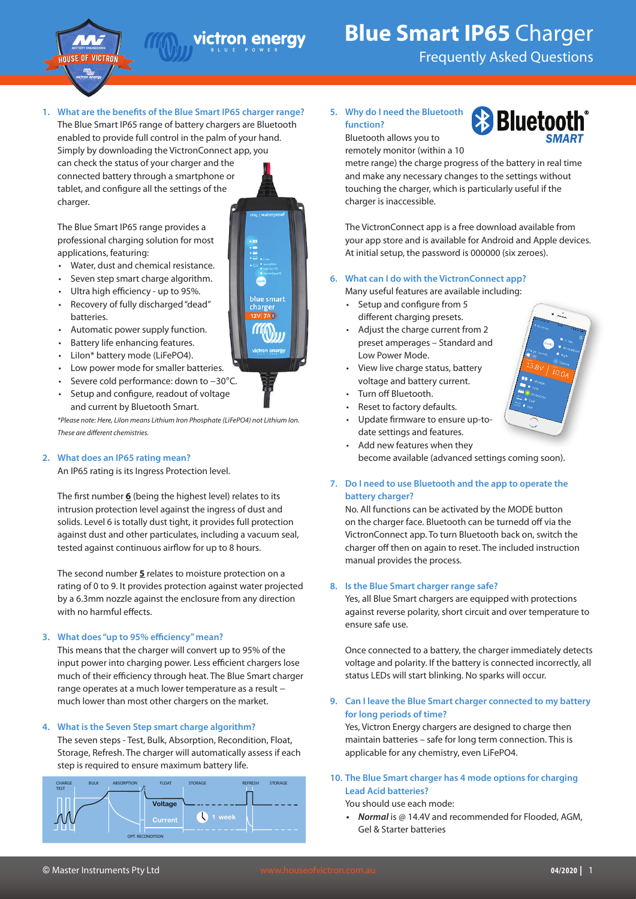

# victron energy

# **Blue Smart IP65** Charger

Frequently Asked Questions

# **1. What are the benefits of the Blue Smart IP65 charger range?**

The Blue Smart IP65 range of battery chargers are Bluetooth enabled to provide full control in the palm of your hand. Simply by downloading the VictronConnect app, you

can check the status of your charger and the connected battery through a smartphone or tablet, and configure all the settings of the charger.

blue smart

• Water, dust and chemical resistance. Seven step smart charge algorithm.

The Blue Smart IP65 range provides a professional charging solution for most

applications, featuring:

- Ultra high efficiency up to 95%.
- Recovery of fully discharged "dead" batteries.
- Automatic power supply function.
- Battery life enhancing features.
- Lilon\* battery mode (LiFePO4).
- Low power mode for smaller batteries.
- Severe cold performance: down to −30°C.
- Setup and configure, readout of voltage and current by Bluetooth Smart.

*\*Please note: Here, LiIon means Lithium Iron Phosphate (LiFePO4) not Lithium Ion. These are different chemistries.*

# **2. What does an IP65 rating mean?**

An IP65 rating is its Ingress Protection level.

The first number **6** (being the highest level) relates to its intrusion protection level against the ingress of dust and solids. Level 6 is totally dust tight, it provides full protection against dust and other particulates, including a vacuum seal, tested against continuous airflow for up to 8 hours.

The second number **5** relates to moisture protection on a rating of 0 to 9. It provides protection against water projected by a 6.3mm nozzle against the enclosure from any direction with no harmful effects.

# **3. What does "up to 95% efficiency" mean?**

This means that the charger will convert up to 95% of the input power into charging power. Less efficient chargers lose much of their efficiency through heat. The Blue Smart charger range operates at a much lower temperature as a result − much lower than most other chargers on the market.

## **4. What is the Seven Step smart charge algorithm?**

The seven steps - Test, Bulk, Absorption, Recondition, Float, Storage, Refresh. The charger will automatically assess if each step is required to ensure maximum battery life.



#### **5. Why do I need the Bluetooth function?** Bluetooth allows you to



remotely monitor (within a 10

metre range) the charge progress of the battery in real time and make any necessary changes to the settings without touching the charger, which is particularly useful if the charger is inaccessible.

The VictronConnect app is a free download available from your app store and is available for Android and Apple devices. At initial setup, the password is 000000 (six zeroes).

- **6. What can I do with the VictronConnect app?**
	- Many useful features are available including:
	- Setup and configure from 5 different charging presets.
	- Adjust the charge current from 2 preset amperages – Standard and Low Power Mode.
	- View live charge status, battery voltage and battery current.
	- Turn off Bluetooth.
	- Reset to factory defaults.
	- Update firmware to ensure up-todate settings and features.
	- Add new features when they become available (advanced settings coming soon).

## **7. Do I need to use Bluetooth and the app to operate the battery charger?**

No. All functions can be activated by the MODE button on the charger face. Bluetooth can be turnedd off via the VictronConnect app. To turn Bluetooth back on, switch the charger off then on again to reset. The included instruction manual provides the process.

#### **8. Is the Blue Smart charger range safe?**

Yes, all Blue Smart chargers are equipped with protections against reverse polarity, short circuit and over temperature to ensure safe use.

Once connected to a battery, the charger immediately detects voltage and polarity. If the battery is connected incorrectly, all status LEDs will start blinking. No sparks will occur.

#### **9. Can I leave the Blue Smart charger connected to my battery for long periods of time?**

Yes, Victron Energy chargers are designed to charge then maintain batteries – safe for long term connection. This is applicable for any chemistry, even LiFePO4.

# **10. The Blue Smart charger has 4 mode options for charging Lead Acid batteries?**

You should use each mode:

*• Normal* is @ 14.4V and recommended for Flooded, AGM, Gel & Starter batteries